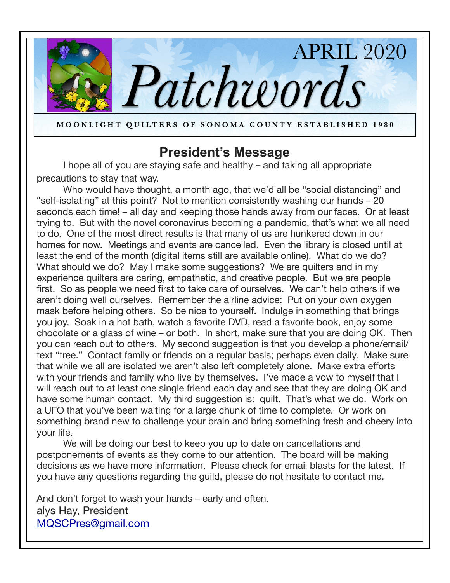

**MOONLIGHT QUILTERS OF SONOMA COUNTY ESTABLISHED 1980**

# **President's Message**

I hope all of you are staying safe and healthy – and taking all appropriate precautions to stay that way.

 Who would have thought, a month ago, that we'd all be "social distancing" and "self-isolating" at this point? Not to mention consistently washing our hands – 20 seconds each time! – all day and keeping those hands away from our faces. Or at least trying to. But with the novel coronavirus becoming a pandemic, that's what we all need to do. One of the most direct results is that many of us are hunkered down in our homes for now. Meetings and events are cancelled. Even the library is closed until at least the end of the month (digital items still are available online). What do we do? What should we do? May I make some suggestions? We are quilters and in my experience quilters are caring, empathetic, and creative people. But we are people first. So as people we need first to take care of ourselves. We can't help others if we aren't doing well ourselves. Remember the airline advice: Put on your own oxygen mask before helping others. So be nice to yourself. Indulge in something that brings you joy. Soak in a hot bath, watch a favorite DVD, read a favorite book, enjoy some chocolate or a glass of wine – or both. In short, make sure that you are doing OK. Then you can reach out to others. My second suggestion is that you develop a phone/email/ text "tree." Contact family or friends on a regular basis; perhaps even daily. Make sure that while we all are isolated we aren't also left completely alone. Make extra efforts with your friends and family who live by themselves. I've made a vow to myself that I will reach out to at least one single friend each day and see that they are doing OK and have some human contact. My third suggestion is: quilt. That's what we do. Work on a UFO that you've been waiting for a large chunk of time to complete. Or work on something brand new to challenge your brain and bring something fresh and cheery into your life.

 We will be doing our best to keep you up to date on cancellations and postponements of events as they come to our attention. The board will be making decisions as we have more information. Please check for email blasts for the latest. If you have any questions regarding the guild, please do not hesitate to contact me.

And don't forget to wash your hands – early and often. alys Hay, President [MQSCPres@gmail.com](mailto:MQSCPres@gmail.com)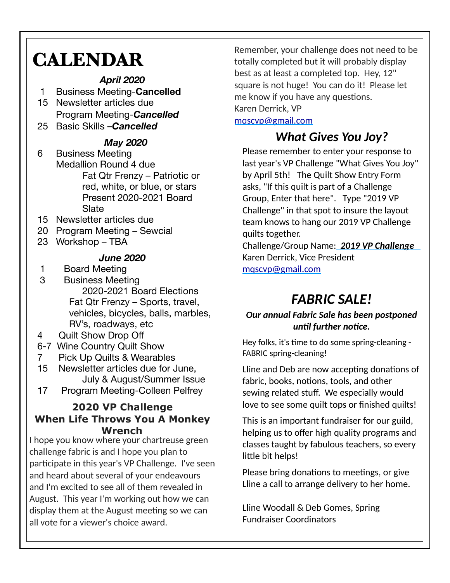# **CALENDAR**

## *April 2020*

1 Business Meeting-**Cancelled** 

- 15 Newsletter articles due Program Meeting-*Cancelled*
- 25 Basic Skills –*Cancelled*

## *May 2020*

- 6 Business Meeting Medallion Round 4 due Fat Qtr Frenzy – Patriotic or red, white, or blue, or stars Present 2020-2021 Board Slate
- 15 Newsletter articles due
- 20 Program Meeting Sewcial
- 23 Workshop TBA

## *June 2020*

- 1 Board Meeting
- 3 Business Meeting 2020-2021 Board Elections Fat Qtr Frenzy – Sports, travel, vehicles, bicycles, balls, marbles, RV's, roadways, etc
- 4 Quilt Show Drop Off
	- 6-7 Wine Country Quilt Show
	- 7 Pick Up Quilts & Wearables
	- 15 Newsletter articles due for June, July & August/Summer Issue
	- 17 Program Meeting-Colleen Pelfrey

### **2020 VP Challenge When Life Throws You A Monkey Wrench**

I hope you know where your chartreuse green challenge fabric is and I hope you plan to participate in this year's VP Challenge. I've seen and heard about several of your endeavours and I'm excited to see all of them revealed in August. This year I'm working out how we can display them at the August meeting so we can all vote for a viewer's choice award.

Remember, your challenge does not need to be totally completed but it will probably display best as at least a completed top. Hey, 12" square is not huge! You can do it! Please let me know if you have any questions. Karen Derrick, VP

[mqscvp@gmail.com](mailto:mqscvp@gmail.com)

# *What Gives You Joy?*

Please remember to enter your response to last year's VP Challenge "What Gives You Joy" by April 5th! The Quilt Show Entry Form asks, "If this quilt is part of a Challenge Group, Enter that here". Type "2019 VP Challenge" in that spot to insure the layout team knows to hang our 2019 VP Challenge quilts together.

Challenge/Group Name: *2019 VP Challenge*  Karen Derrick, Vice President [mqscvp@gmail.com](mailto:mqscvp@gmail.com)

# *FABRIC SALE!*

#### *Our annual Fabric Sale has been postponed until further notice.*

Hey folks, it's time to do some spring-cleaning -FABRIC spring-cleaning!

Lline and Deb are now accepting donations of fabric, books, notions, tools, and other sewing related stuff. We especially would love to see some quilt tops or finished quilts!

This is an important fundraiser for our guild, helping us to offer high quality programs and classes taught by fabulous teachers, so every little bit helps!

Please bring donations to meetings, or give Lline a call to arrange delivery to her home.

Lline Woodall & Deb Gomes, Spring Fundraiser Coordinators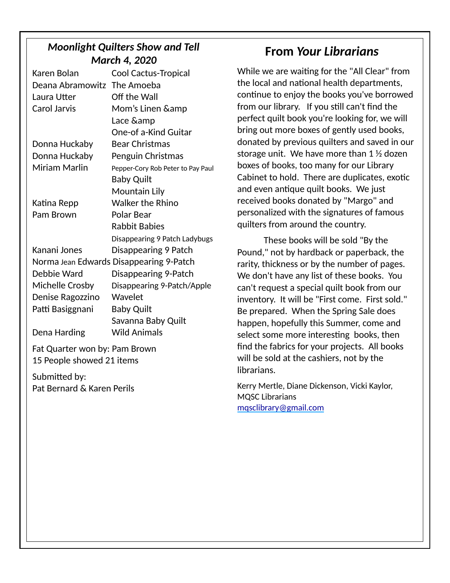## *Moonlight Quilters Show and Tell March 4, 2020*

| Karen Bolan                   | Cool Cactus-Tropical                    |
|-------------------------------|-----------------------------------------|
| Deana Abramowitz              | The Amoeba                              |
| Laura Utter                   | Off the Wall                            |
| <b>Carol Jarvis</b>           | Mom's Linen &                           |
|                               | Lace &                                  |
|                               | One-of a-Kind Guitar                    |
| Donna Huckaby                 | <b>Bear Christmas</b>                   |
| Donna Huckaby                 | Penguin Christmas                       |
| Miriam Marlin                 | Pepper-Cory Rob Peter to Pay Paul       |
|                               | <b>Baby Quilt</b>                       |
|                               | <b>Mountain Lily</b>                    |
| Katina Repp                   | <b>Walker the Rhino</b>                 |
| Pam Brown                     | Polar Bear                              |
|                               | <b>Rabbit Babies</b>                    |
|                               | Disappearing 9 Patch Ladybugs           |
| Kanani Jones                  | Disappearing 9 Patch                    |
|                               | Norma Jean Edwards Disappearing 9-Patch |
| Debbie Ward                   | Disappearing 9-Patch                    |
| Michelle Crosby               | Disappearing 9-Patch/Apple              |
| Denise Ragozzino              | Wavelet                                 |
| Patti Basiggnani              | <b>Baby Quilt</b>                       |
|                               | Savanna Baby Quilt                      |
| Dena Harding                  | <b>Wild Animals</b>                     |
| Fat Quarter won by: Pam Brown |                                         |

15 People showed 21 items

Submitted by: Pat Bernard & Karen Perils

# **From** *Your Librarians*

While we are waiting for the "All Clear" from the local and national health departments, continue to enjoy the books you've borrowed from our library. If you still can't find the perfect quilt book you're looking for, we will bring out more boxes of gently used books, donated by previous quilters and saved in our storage unit. We have more than 1 ½ dozen boxes of books, too many for our Library Cabinet to hold. There are duplicates, exotic and even antique quilt books. We just received books donated by "Margo" and personalized with the signatures of famous quilters from around the country.

 These books will be sold "By the Pound," not by hardback or paperback, the rarity, thickness or by the number of pages. We don't have any list of these books. You can't request a special quilt book from our inventory. It will be "First come. First sold." Be prepared. When the Spring Sale does happen, hopefully this Summer, come and select some more interesting books, then find the fabrics for your projects. All books will be sold at the cashiers, not by the librarians.

Kerry Mertle, Diane Dickenson, Vicki Kaylor, MQSC Librarians [mqsclibrary@gmail.com](mailto:mqsclibrary@gmail.com)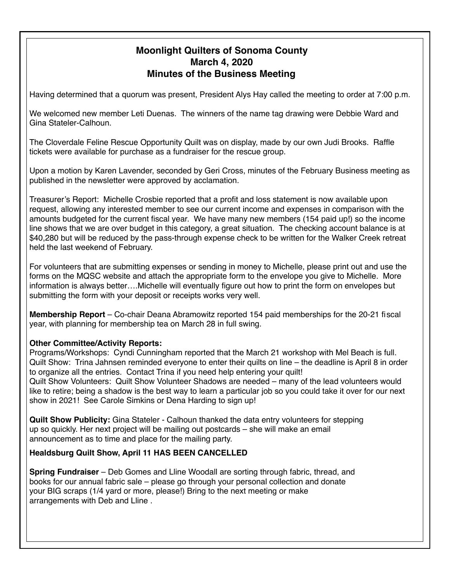#### **Moonlight Quilters of Sonoma County March 4, 2020 Minutes of the Business Meeting**

Having determined that a quorum was present, President Alys Hay called the meeting to order at 7:00 p.m.

We welcomed new member Leti Duenas. The winners of the name tag drawing were Debbie Ward and Gina Stateler-Calhoun.

The Cloverdale Feline Rescue Opportunity Quilt was on display, made by our own Judi Brooks. Raffle tickets were available for purchase as a fundraiser for the rescue group.

Upon a motion by Karen Lavender, seconded by Geri Cross, minutes of the February Business meeting as published in the newsletter were approved by acclamation.

Treasurer's Report: Michelle Crosbie reported that a profit and loss statement is now available upon request, allowing any interested member to see our current income and expenses in comparison with the amounts budgeted for the current fiscal year. We have many new members (154 paid up!) so the income line shows that we are over budget in this category, a great situation. The checking account balance is at \$40,280 but will be reduced by the pass-through expense check to be written for the Walker Creek retreat held the last weekend of February.

For volunteers that are submitting expenses or sending in money to Michelle, please print out and use the forms on the MQSC website and attach the appropriate form to the envelope you give to Michelle. More information is always better….Michelle will eventually figure out how to print the form on envelopes but submitting the form with your deposit or receipts works very well.

**Membership Report** – Co-chair Deana Abramowitz reported 154 paid memberships for the 20-21 fiscal year, with planning for membership tea on March 28 in full swing.

#### **Other Committee/Activity Reports:**

Programs/Workshops: Cyndi Cunningham reported that the March 21 workshop with Mel Beach is full. Quilt Show: Trina Jahnsen reminded everyone to enter their quilts on line – the deadline is April 8 in order to organize all the entries. Contact Trina if you need help entering your quilt! Quilt Show Volunteers: Quilt Show Volunteer Shadows are needed – many of the lead volunteers would like to retire; being a shadow is the best way to learn a particular job so you could take it over for our next show in 2021! See Carole Simkins or Dena Harding to sign up!

**Quilt Show Publicity:** Gina Stateler - Calhoun thanked the data entry volunteers for stepping up so quickly. Her next project will be mailing out postcards – she will make an email announcement as to time and place for the mailing party.

#### **Healdsburg Quilt Show, April 11 HAS BEEN CANCELLED**

**Spring Fundraiser** – Deb Gomes and Lline Woodall are sorting through fabric, thread, and books for our annual fabric sale – please go through your personal collection and donate your BIG scraps (1/4 yard or more, please!) Bring to the next meeting or make arrangements with Deb and Lline .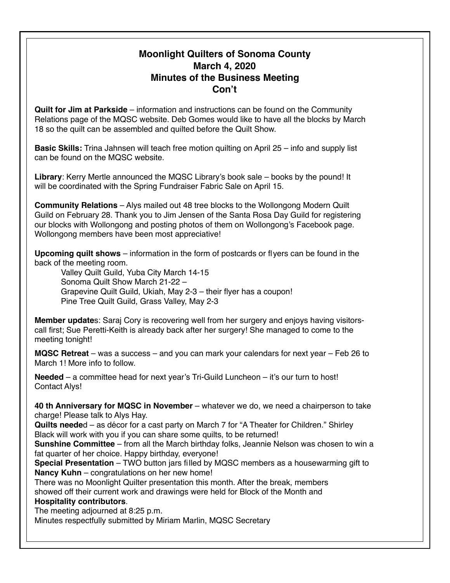#### **Moonlight Quilters of Sonoma County March 4, 2020 Minutes of the Business Meeting Con't**

**Quilt for Jim at Parkside** – information and instructions can be found on the Community Relations page of the MQSC website. Deb Gomes would like to have all the blocks by March 18 so the quilt can be assembled and quilted before the Quilt Show.

**Basic Skills:** Trina Jahnsen will teach free motion quilting on April 25 – info and supply list can be found on the MQSC website.

**Library**: Kerry Mertle announced the MQSC Library's book sale – books by the pound! It will be coordinated with the Spring Fundraiser Fabric Sale on April 15.

**Community Relations** – Alys mailed out 48 tree blocks to the Wollongong Modern Quilt Guild on February 28. Thank you to Jim Jensen of the Santa Rosa Day Guild for registering our blocks with Wollongong and posting photos of them on Wollongong's Facebook page. Wollongong members have been most appreciative!

**Upcoming quilt shows** – information in the form of postcards or flyers can be found in the back of the meeting room.

Valley Quilt Guild, Yuba City March 14-15 Sonoma Quilt Show March 21-22 – Grapevine Quilt Guild, Ukiah, May 2-3 – their flyer has a coupon! Pine Tree Quilt Guild, Grass Valley, May 2-3

**Member update**s: Saraj Cory is recovering well from her surgery and enjoys having visitorscall first; Sue Peretti-Keith is already back after her surgery! She managed to come to the meeting tonight!

**MQSC Retreat** – was a success – and you can mark your calendars for next year – Feb 26 to March 1! More info to follow.

**Needed** – a committee head for next year's Tri-Guild Luncheon – it's our turn to host! Contact Alys!

**40 th Anniversary for MQSC in November** – whatever we do, we need a chairperson to take charge! Please talk to Alys Hay.

**Quilts neede**d – as décor for a cast party on March 7 for "A Theater for Children." Shirley Black will work with you if you can share some quilts, to be returned!

**Sunshine Committee** – from all the March birthday folks, Jeannie Nelson was chosen to win a fat quarter of her choice. Happy birthday, everyone!

**Special Presentation** – TWO button jars filled by MQSC members as a housewarming gift to **Nancy Kuhn** – congratulations on her new home!

There was no Moonlight Quilter presentation this month. After the break, members showed off their current work and drawings were held for Block of the Month and **Hospitality contributors**.

The meeting adjourned at 8:25 p.m.

Minutes respectfully submitted by Miriam Marlin, MQSC Secretary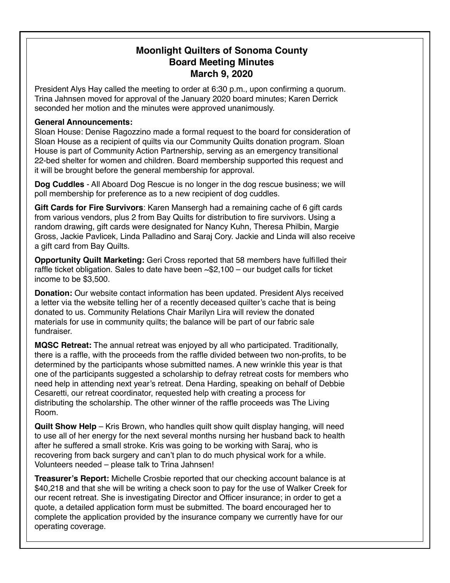#### **Moonlight Quilters of Sonoma County Board Meeting Minutes March 9, 2020**

President Alys Hay called the meeting to order at 6:30 p.m., upon confirming a quorum. Trina Jahnsen moved for approval of the January 2020 board minutes; Karen Derrick seconded her motion and the minutes were approved unanimously.

#### **General Announcements:**

Sloan House: Denise Ragozzino made a formal request to the board for consideration of Sloan House as a recipient of quilts via our Community Quilts donation program. Sloan House is part of Community Action Partnership, serving as an emergency transitional 22-bed shelter for women and children. Board membership supported this request and it will be brought before the general membership for approval.

**Dog Cuddles** - All Aboard Dog Rescue is no longer in the dog rescue business; we will poll membership for preference as to a new recipient of dog cuddles.

**Gift Cards for Fire Survivors**: Karen Mansergh had a remaining cache of 6 gift cards from various vendors, plus 2 from Bay Quilts for distribution to fire survivors. Using a random drawing, gift cards were designated for Nancy Kuhn, Theresa Philbin, Margie Gross, Jackie Pavlicek, Linda Palladino and Saraj Cory. Jackie and Linda will also receive a gift card from Bay Quilts.

**Opportunity Quilt Marketing:** Geri Cross reported that 58 members have fulfilled their raffle ticket obligation. Sales to date have been ~\$2,100 – our budget calls for ticket income to be \$3,500.

**Donation:** Our website contact information has been updated. President Alys received a letter via the website telling her of a recently deceased quilter's cache that is being donated to us. Community Relations Chair Marilyn Lira will review the donated materials for use in community quilts; the balance will be part of our fabric sale fundraiser.

**MQSC Retreat:** The annual retreat was enjoyed by all who participated. Traditionally, there is a raffle, with the proceeds from the raffle divided between two non-profits, to be determined by the participants whose submitted names. A new wrinkle this year is that one of the participants suggested a scholarship to defray retreat costs for members who need help in attending next year's retreat. Dena Harding, speaking on behalf of Debbie Cesaretti, our retreat coordinator, requested help with creating a process for distributing the scholarship. The other winner of the raffle proceeds was The Living Room.

**Quilt Show Help** – Kris Brown, who handles quilt show quilt display hanging, will need to use all of her energy for the next several months nursing her husband back to health after he suffered a small stroke. Kris was going to be working with Saraj, who is recovering from back surgery and can't plan to do much physical work for a while. Volunteers needed – please talk to Trina Jahnsen!

**Treasurer's Report:** Michelle Crosbie reported that our checking account balance is at \$40,218 and that she will be writing a check soon to pay for the use of Walker Creek for our recent retreat. She is investigating Director and Officer insurance; in order to get a quote, a detailed application form must be submitted. The board encouraged her to complete the application provided by the insurance company we currently have for our operating coverage.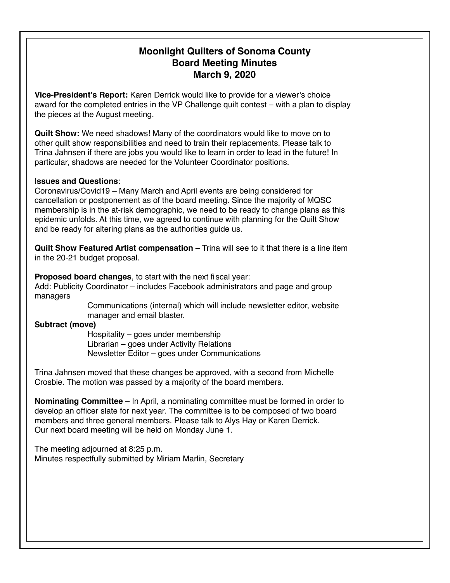#### **Moonlight Quilters of Sonoma County Board Meeting Minutes March 9, 2020**

**Vice-President's Report:** Karen Derrick would like to provide for a viewer's choice award for the completed entries in the VP Challenge quilt contest – with a plan to display the pieces at the August meeting.

**Quilt Show:** We need shadows! Many of the coordinators would like to move on to other quilt show responsibilities and need to train their replacements. Please talk to Trina Jahnsen if there are jobs you would like to learn in order to lead in the future! In particular, shadows are needed for the Volunteer Coordinator positions.

#### I**ssues and Questions**:

Coronavirus/Covid19 – Many March and April events are being considered for cancellation or postponement as of the board meeting. Since the majority of MQSC membership is in the at-risk demographic, we need to be ready to change plans as this epidemic unfolds. At this time, we agreed to continue with planning for the Quilt Show and be ready for altering plans as the authorities guide us.

**Quilt Show Featured Artist compensation** – Trina will see to it that there is a line item in the 20-21 budget proposal.

**Proposed board changes**, to start with the next fiscal year:

Add: Publicity Coordinator – includes Facebook administrators and page and group managers

> Communications (internal) which will include newsletter editor, website manager and email blaster.

#### **Subtract (move)**

Hospitality – goes under membership Librarian – goes under Activity Relations Newsletter Editor – goes under Communications

Trina Jahnsen moved that these changes be approved, with a second from Michelle Crosbie. The motion was passed by a majority of the board members.

**Nominating Committee** – In April, a nominating committee must be formed in order to develop an officer slate for next year. The committee is to be composed of two board members and three general members. Please talk to Alys Hay or Karen Derrick. Our next board meeting will be held on Monday June 1.

The meeting adjourned at 8:25 p.m. Minutes respectfully submitted by Miriam Marlin, Secretary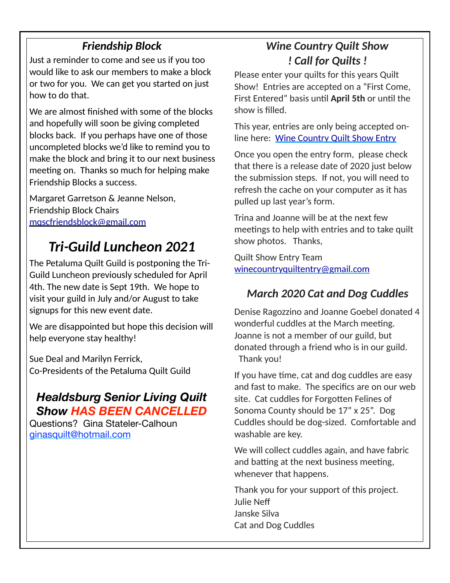# *Friendship Block*

Just a reminder to come and see us if you too would like to ask our members to make a block or two for you. We can get you started on just how to do that.

We are almost finished with some of the blocks and hopefully will soon be giving completed blocks back. If you perhaps have one of those uncompleted blocks we'd like to remind you to make the block and bring it to our next business meeting on. Thanks so much for helping make Friendship Blocks a success.

Margaret Garretson & Jeanne Nelson, Friendship Block Chairs [mqscfriendsblock@gmail.com](mailto:mqscfriendsblock@gmail.com)

# *Tri-Guild Luncheon 2021*

The Petaluma Quilt Guild is postponing the Tri-Guild Luncheon previously scheduled for April 4th. The new date is Sept 19th. We hope to visit your guild in July and/or August to take signups for this new event date.

We are disappointed but hope this decision will help everyone stay healthy!

Sue Deal and Marilyn Ferrick, Co-Presidents of the Petaluma Quilt Guild

# *Healdsburg Senior Living Quilt Show HAS BEEN CANCELLED*

Questions? Gina Stateler-Calhoun [ginasquilt@hotmail.com](mailto:ginasquilt@hotmail.com)

# *Wine Country Quilt Show ! Call for Quilts !*

Please enter your quilts for this years Quilt Show! Entries are accepted on a "First Come, First Entered" basis until **April 5th** or until the show is filled.

This year, entries are only being accepted online here: [Wine Country Quilt Show Entry](https://www.mqsc.org/quilt-show-entry-info)

Once you open the entry form, please check that there is a release date of 2020 just below the submission steps. If not, you will need to refresh the cache on your computer as it has pulled up last year's form.

Trina and Joanne will be at the next few meetings to help with entries and to take quilt show photos. Thanks,

Quilt Show Entry Team [winecountryquiltentry@gmail.com](mailto:winecountryquiltentry@gmail.com)

# *March 2020 Cat and Dog Cuddles*

Denise Ragozzino and Joanne Goebel donated 4 wonderful cuddles at the March meeting. Joanne is not a member of our guild, but donated through a friend who is in our guild. Thank you!

If you have time, cat and dog cuddles are easy and fast to make. The specifics are on our web site. Cat cuddles for Forgotten Felines of Sonoma County should be 17" x 25". Dog Cuddles should be dog-sized. Comfortable and washable are key.

We will collect cuddles again, and have fabric and batting at the next business meeting, whenever that happens.

Thank you for your support of this project. Julie Neff Janske Silva Cat and Dog Cuddles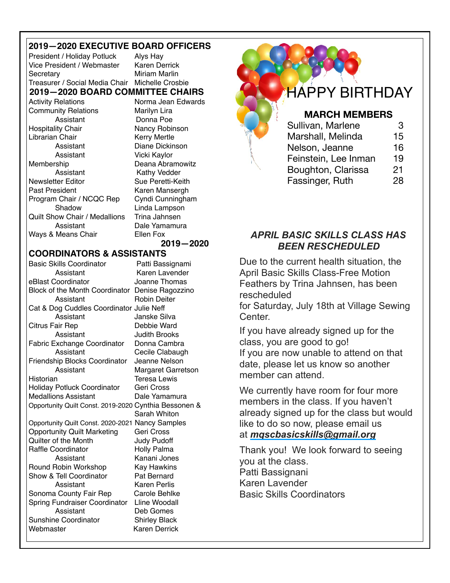#### **2019—2020 EXECUTIVE BOARD OFFICERS**

President / Holiday Potluck Alys Hay Vice President / Webmaster Karen Derrick Secretary **Miriam Marlin** 

Treasurer / Social Media Chair Michelle Crosbie **2019—2020 BOARD COMMITTEE CHAIRS**

Activity Relations **Norma Jean Edwards** Community Relations **Marilyn Lira**  Assistant Donna Poe Hospitality Chair **Nancy Robinson** Librarian Chair **Kerry Mertle** Assistant Diane Dickinson<br>
Assistant Vicki Kavlor Membership Deana Abramowitz Assistant Kathy Vedder Newsletter Editor **Sue Peretti-Keith** Past President Karen Mansergh Program Chair / NCQC Rep Cyndi Cunningham Shadow Linda Lampson Quilt Show Chair / Medallions Trina Jahnsen Assistant Dale Yamamura Ways & Means Chair Fox

**Vicki Kaylor 2019—2020** 

#### **COORDINATORS & ASSISTANTS**

Basic Skills Coordinator Patti Bassignami Assistant Karen Lavender eBlast Coordinator **Joanne Thomas** Block of the Month Coordinator Denise Ragozzino Assistant Robin Deiter Cat & Dog Cuddles Coordinator Julie Neff Assistant Janske Silva Citrus Fair Rep Debbie Ward Assistant Judith Brooks Fabric Exchange Coordinator Donna Cambra Assistant Cecile Clabaugh Friendship Blocks Coordinator Jeanne Nelson Assistant Margaret Garretson Historian Teresa Lewis Holiday Potluck Coordinator Geri Cross Medallions Assistant **Dale Yamamura** Opportunity Quilt Const. 2019-2020 Cynthia Bessonen & Sarah Whiton Opportunity Quilt Const. 2020-2021 Nancy Samples **Opportunity Quilt Marketing Geri Cross** Quilter of the Month Judy Pudoff Raffle Coordinator **Holly Palma** Assistant Kanani Jones Round Robin Workshop Kay Hawkins Show & Tell Coordinator Pat Bernard Assistant Karen Perlis Sonoma County Fair Rep Carole Behlke Spring Fundraiser Coordinator Lline Woodall Assistant Deb Gomes Sunshine Coordinator **Shirley Black** Webmaster **Karen Derrick** 

| *HAPPY BIRTHDAY |  |
|-----------------|--|
|                 |  |

#### **MARCH MEMBERS**

| Sullivan, Marlene    | 3  |
|----------------------|----|
| Marshall, Melinda    | 15 |
| Nelson, Jeanne       | 16 |
| Feinstein, Lee Inman | 19 |
| Boughton, Clarissa   | 21 |
| Fassinger, Ruth      | 28 |

#### *APRIL BASIC SKILLS CLASS HAS BEEN RESCHEDULED*

Due to the current health situation, the April Basic Skills Class-Free Motion Feathers by Trina Jahnsen, has been rescheduled

for Saturday, July 18th at Village Sewing Center.

If you have already signed up for the class, you are good to go! If you are now unable to attend on that date, please let us know so another member can attend.

We currently have room for four more members in the class. If you haven't already signed up for the class but would like to do so now, please email us at *[mqscbasicskills@gmail.org](mailto:mqscbasicskills@gmail.org)*

Thank you! We look forward to seeing you at the class. Patti Bassignani Karen Lavender Basic Skills Coordinators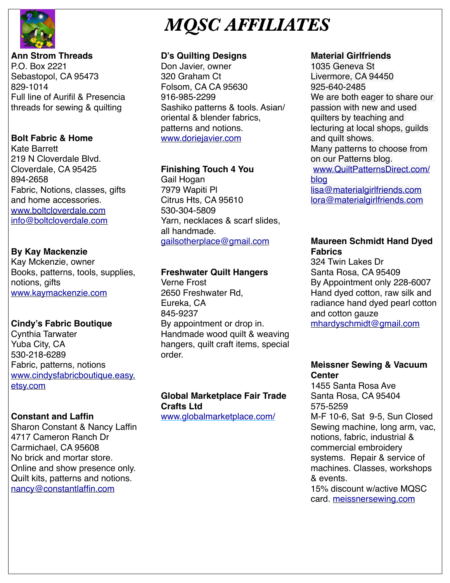

#### **Ann Strom Threads** P.O. Box 2221 Sebastopol, CA 95473 829-1014 Full line of Aurifil & Presencia threads for sewing & quilting

#### **Bolt Fabric & Home**

Kate Barrett 219 N Cloverdale Blvd. Cloverdale, CA 95425 894-2658 Fabric, Notions, classes, gifts and home accessories. [www.boltcloverdale.com](http://www.boltcloverdale.com) [info@boltcloverdale.com](mailto:info@boltcloverdale.com)

#### **By Kay Mackenzie**

Kay Mckenzie, owner Books, patterns, tools, supplies, notions, gifts [www.kaymackenzie.com](http://www.kaymackenzie.com)

#### **Cindy's Fabric Boutique**

Cynthia Tarwater Yuba City, CA 530-218-6289 Fabric, patterns, notions [www.cindysfabricboutique.easy.](http://www.cindysfabricboutique.easy.etsy.com) [etsy.com](http://www.cindysfabricboutique.easy.etsy.com)

#### **Constant and Laffin**

Sharon Constant & Nancy Laffin 4717 Cameron Ranch Dr Carmichael, CA 95608 No brick and mortar store. Online and show presence only. Quilt kits, patterns and notions. [nancy@constantlaffin.com](mailto:nancy@constantlaffin.com)

# *MQSC AFFILIATES*

#### **D's Quilting Designs**

Don Javier, owner 320 Graham Ct Folsom, CA CA 95630 916-985-2299 Sashiko patterns & tools. Asian/ oriental & blender fabrics, patterns and notions. [www.doriejavier.com](http://www.doriejavier.com)

#### **Finishing Touch 4 You**

Gail Hogan 7979 Wapiti Pl Citrus Hts, CA 95610 530-304-5809 Yarn, necklaces & scarf slides, all handmade. [gailsotherplace@gmail.com](mailto:gailsotherplace@gmail.com)

#### **Freshwater Quilt Hangers**

Verne Frost 2650 Freshwater Rd, Eureka, CA 845-9237 By appointment or drop in. Handmade wood quilt & weaving hangers, quilt craft items, special order.

#### **Global Marketplace Fair Trade Crafts Ltd**

[www.globalmarketplace.com/](https://www.globalmarketplace.com/)

#### **Material Girlfriends**

1035 Geneva St Livermore, CA 94450 925-640-2485 We are both eager to share our passion with new and used quilters by teaching and lecturing at local shops, guilds and quilt shows. Many patterns to choose from on our Patterns blog. [www.QuiltPatternsDirect.com/](http://www.quiltpatternsdirect.com/blog) [blog](http://www.quiltpatternsdirect.com/blog) [lisa@materialgirlfriends.com](mailto:lisa@materialgirlfriends.com) [lora@materialgirlfriends.com](mailto:lora@materialgirlfriends.com)

#### **Maureen Schmidt Hand Dyed Fabrics**

324 Twin Lakes Dr Santa Rosa, CA 95409 By Appointment only 228-6007 Hand dyed cotton, raw silk and radiance hand dyed pearl cotton and cotton gauze [mhardyschmidt@gmail.com](mailto:mhardyschmidt@gmail.com)

#### **Meissner Sewing & Vacuum Center**

1455 Santa Rosa Ave Santa Rosa, CA 95404 575-5259

M-F 10-6, Sat 9-5, Sun Closed Sewing machine, long arm, vac, notions, fabric, industrial & commercial embroidery systems. Repair & service of machines. Classes, workshops & events.

15% discount w/active MQSC card. [meissnersewing.com](http://meissnersewing.com)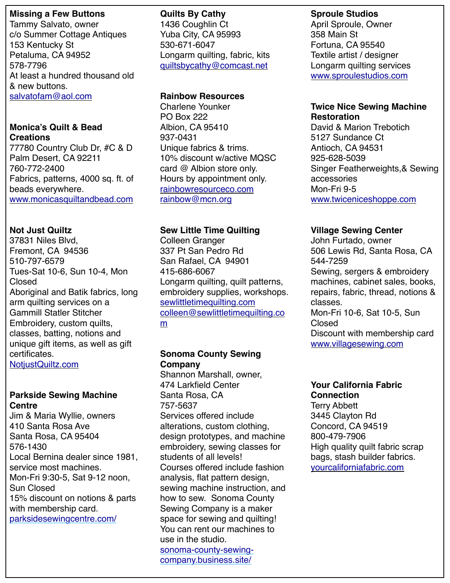#### **Missing a Few Buttons**

Tammy Salvato, owner c/o Summer Cottage Antiques 153 Kentucky St Petaluma, CA 94952 578-7796 At least a hundred thousand old & new buttons. [salvatofam@aol.com](mailto:salvatofam@aol.com)

#### **Monica's Quilt & Bead Creations**

77780 Country Club Dr, #C & D Palm Desert, CA 92211 760-772-2400 Fabrics, patterns, 4000 sq. ft. of beads everywhere. [www.monicasquiltandbead.com](http://www.monicasquiltandbead.com)

#### **Not Just Quiltz**

37831 Niles Blvd, Fremont, CA 94536 510-797-6579 Tues-Sat 10-6, Sun 10-4, Mon Closed Aboriginal and Batik fabrics, long arm quilting services on a Gammill Statler Stitcher Embroidery, custom quilts, classes, batting, notions and unique gift items, as well as gift certificates.

[NotjustQuiltz.com](http://NotjustQuiltz.com)

#### **Parkside Sewing Machine Centre**

Jim & Maria Wyllie, owners 410 Santa Rosa Ave Santa Rosa, CA 95404 576-1430 Local Bernina dealer since 1981, service most machines. Mon-Fri 9:30-5, Sat 9-12 noon, Sun Closed 15% discount on notions & parts with membership card. [parksidesewingcentre.com/](http://parksidesewingcentre.com/index.html)

#### **Quilts By Cathy**

1436 Coughlin Ct Yuba City, CA 95993 530-671-6047 Longarm quilting, fabric, kits [quiltsbycathy@comcast.net](mailto:quiltsbycathy@comcast.net)

#### **Rainbow Resources**

Charlene Younker PO Box 222 Albion, CA 95410 937-0431 Unique fabrics & trims. 10% discount w/active MQSC card @ Albion store only. Hours by appointment only. [rainbowresourceco.com](http://rainbowresourceco.com) [rainbow@mcn.org](mailto:rainbow@mcn.org)

#### **Sew Little Time Quilting**

Colleen Granger 337 Pt San Pedro Rd San Rafael, CA 94901 415-686-6067 Longarm quilting, quilt patterns, embroidery supplies, workshops. [sewlittletimequilting.com](http://sewlittletimequilting.com) [colleen@sewlittletimequilting.co](mailto:colleen@sewlittletimequilting.com) [m](mailto:colleen@sewlittletimequilting.com)

#### **Sonoma County Sewing Company**

Shannon Marshall, owner, 474 Larkfield Center Santa Rosa, CA 757-5637 Services offered include alterations, custom clothing, design prototypes, and machine embroidery, sewing classes for students of all levels! Courses offered include fashion analysis, flat pattern design, sewing machine instruction, and how to sew. Sonoma County Sewing Company is a maker space for sewing and quilting! You can rent our machines to use in the studio. [sonoma-county-sewing](https://sonoma-county-sewing-company.business.site/)[company.business.site/](https://sonoma-county-sewing-company.business.site/)

#### **Sproule Studios**

April Sproule, Owner 358 Main St Fortuna, CA 95540 Textile artist / designer Longarm quilting services [www.sproulestudios.com](http://www.sproulestudios.com)

#### **Twice Nice Sewing Machine Restoration**

David & Marion Trebotich 5127 Sundance Ct Antioch, CA 94531 925-628-5039 Singer Featherweights,& Sewing accessories Mon-Fri 9-5 [www.twiceniceshoppe.com](http://www.twiceniceshoppe.com)

#### **Village Sewing Center**

John Furtado, owner 506 Lewis Rd, Santa Rosa, CA 544-7259 Sewing, sergers & embroidery machines, cabinet sales, books, repairs, fabric, thread, notions & classes. Mon-Fri 10-6, Sat 10-5, Sun Closed Discount with membership card

[www.villagesewing.com](http://www.villagesewing.com)

#### **Your California Fabric Connection**

Terry Abbett 3445 Clayton Rd Concord, CA 94519 800-479-7906 High quality quilt fabric scrap bags, stash builder fabrics. [yourcaliforniafabric.com](http://yourcaliforniafabric.com)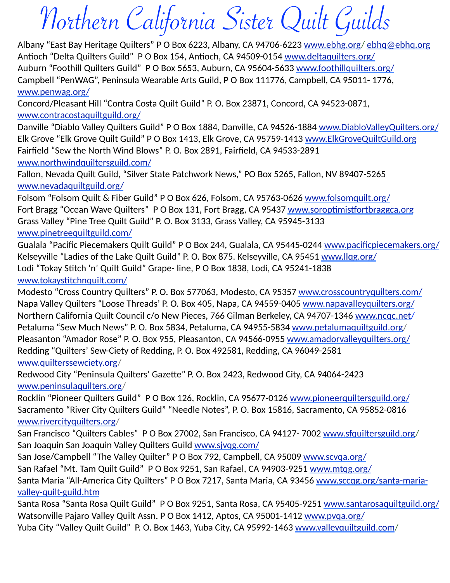# Northern California Sister Quilt Guilds

Albany "East Bay Heritage Quilters" P O Box 6223, Albany, CA 94706-6223 [www.ebhg.org](http://www.ebhg.org/)/ [ebhq@ebhq.org](mailto:ebhq@ebhq.org) Antioch "Delta Quilters Guild" P O Box 154, Antioch, CA 94509-0154 [www.deltaquilters.org/](http://www.deltaquilters.org/) Auburn "Foothill Quilters Guild" P O Box 5653, Auburn, CA 95604-5633 [www.foothillquilters.org/](http://www.foothillquilters.org/) Campbell "PenWAG", Peninsula Wearable Arts Guild, P O Box 111776, Campbell, CA 95011- 1776, [www.penwag.org/](http://www.penwag.org/)

Concord/Pleasant Hill "Contra Costa Quilt Guild" P. O. Box 23871, Concord, CA 94523-0871, [www.contracostaquiltguild.org/](http://www.contracostaquiltguild.org/)

Danville "Diablo Valley Quilters Guild" P O Box 1884, Danville, CA 94526-1884 [www.DiabloValleyQuilters.org/](http://www.diablovalleyquilters.org/) Elk Grove "Elk Grove Quilt Guild" P O Box 1413, Elk Grove, CA 95759-1413 [www.ElkGroveQuiltGuild.org](http://www.elkgrovequiltguild.org/) Fairfield "Sew the North Wind Blows" P. O. Box 2891, Fairfield, CA 94533-2891 [www.northwindquiltersguild.com/](http://www.northwindquiltersguild.com/)

Fallon, Nevada Quilt Guild, "Silver State Patchwork News," PO Box 5265, Fallon, NV 89407-5265 [www.nevadaquiltguild.org/](http://www.nevadaquiltguild.org/)

Folsom "Folsom Quilt & Fiber Guild" P O Box 626, Folsom, CA 95763-0626 [www.folsomquilt.org/](http://www.folsomquilt.org/) Fort Bragg "Ocean Wave Quilters" P O Box 131, Fort Bragg, CA 95437 www.soroptimistfortbraggca.org Grass Valley "Pine Tree Quilt Guild" P. O. Box 3133, Grass Valley, CA 95945-3133 [www.pinetreequiltguild.com/](http://www.pinetreequiltguild.com/)

Gualala "Pacific Piecemakers Quilt Guild" P O Box 244, Gualala, CA 95445-0244 [www.pacificpiecemakers.org/](http://www.pacificpiecemakers.org/) Kelseyville "Ladies of the Lake Quilt Guild" P. O. Box 875. Kelseyville, CA 95451 [www.llqg.org/](http://www.llqg.org/) Lodi "Tokay Stitch 'n' Quilt Guild" Grape- line, P O Box 1838, Lodi, CA 95241-1838 www.tokaystitchnquilt.com/

Modesto "Cross Country Quilters" P. O. Box 577063, Modesto, CA 95357 [www.crosscountryquilters.com/](http://www.crosscountryquilters.com/) Napa Valley Quilters "Loose Threads' P. O. Box 405, Napa, CA 94559-0405 [www.napavalleyquilters.org/](http://www.napavalleyquilters.org/) Northern California Quilt Council c/o New Pieces, 766 Gilman Berkeley, CA 94707-1346 [www.ncqc.net](http://www.ncqc.net/)/ Petaluma "Sew Much News" P. O. Box 5834, Petaluma, CA 94955-5834 [www.petalumaquiltguild.org](http://www.petalumaquiltguild.org/)/ Pleasanton "Amador Rose" P. O. Box 955, Pleasanton, CA 94566-0955 [www.amadorvalleyquilters.org/](http://www.amadorvalleyquilters.org/) Redding "Quilters' Sew-Ciety of Redding, P. O. Box 492581, Redding, CA 96049-2581 [www.quilterssewciety.org](http://www.quilterssewciety.org/)/

Redwood City "Peninsula Quilters' Gazette" P. O. Box 2423, Redwood City, CA 94064-2423 [www.peninsulaquilters.org](http://www.peninsulaquilters.org/)/

Rocklin "Pioneer Quilters Guild" P O Box 126, Rocklin, CA 95677-0126 [www.pioneerquiltersguild.org/](http://www.pioneerquiltersguild.org/) Sacramento "River City Quilters Guild" "Needle Notes", P. O. Box 15816, Sacramento, CA 95852-0816 [www.rivercityquilters.org](http://www.rivercityquilters.org/)/

San Francisco "Quilters Cables" P O Box 27002, San Francisco, CA 94127- 7002 [www.sfquiltersguild.org](http://www.sfquiltersguild.org/)/ San Joaquin San Joaquin Valley Quilters Guild [www.sjvqg.com/](http://www.sjvqg.com/)

San Jose/Campbell "The Valley Quilter" P O Box 792, Campbell, CA 95009 [www.scvqa.org/](http://www.scvqa.org/) San Rafael "Mt. Tam Quilt Guild" P O Box 9251, San Rafael, CA 94903-9251 [www.mtqg.org/](http://www.mtqg.org/) Santa Maria "All-America City Quilters" P O Box 7217, Santa Maria, CA 93456 [www.sccqg.org/santa-maria](http://www.sccqg.org/santa-maria-valley-quilt-guild.htm)[valley-quilt-guild.htm](http://www.sccqg.org/santa-maria-valley-quilt-guild.htm)

Santa Rosa "Santa Rosa Quilt Guild" P O Box 9251, Santa Rosa, CA 95405-9251 [www.santarosaquiltguild.org/](http://www.santarosaquiltguild.org/) Watsonville Pajaro Valley Quilt Assn. P O Box 1412, Aptos, CA 95001-1412 [www.pvqa.org/](http://www.pvqa.org/) Yuba City "Valley Quilt Guild" P. O. Box 1463, Yuba City, CA 95992-1463 [www.valleyquiltguild.com](http://www.valleyquiltguild.com/)/